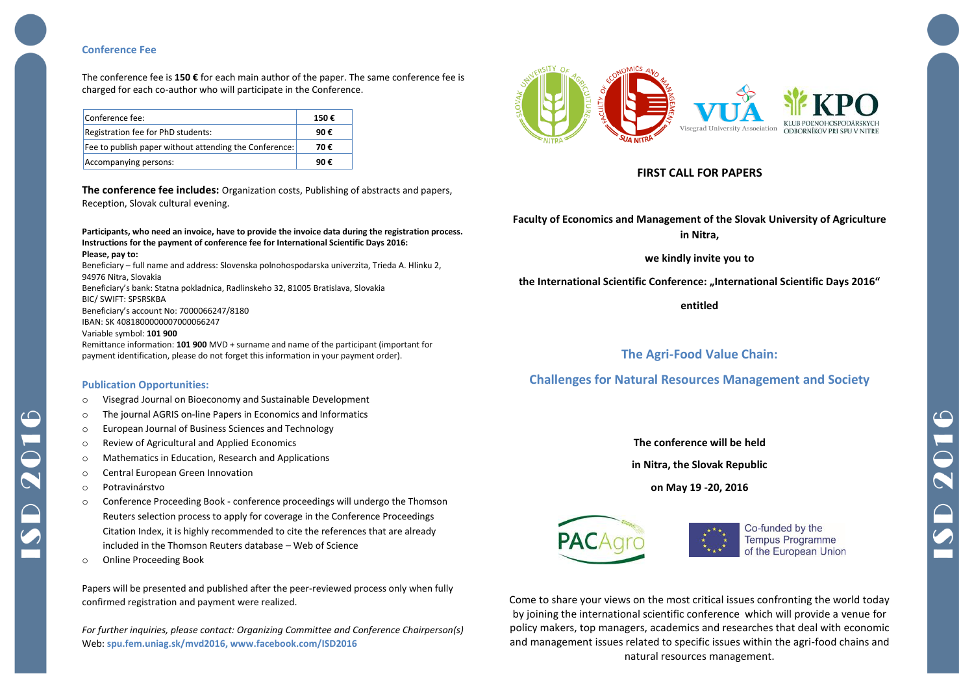## **Conference Fee**

The conference fee is **150 €** for each main author of the paper. The same conference fee is charged for each co-author who will participate in the Conference.

| Conference fee:                                        | 150€ |
|--------------------------------------------------------|------|
| Registration fee for PhD students:                     | 90€  |
| Fee to publish paper without attending the Conference: | 70€  |
| Accompanying persons:                                  | 9Ո € |

**The conference fee includes:** Organization costs, Publishing of abstracts and papers, Reception, Slovak cultural evening.

**Participants, who need an invoice, have to provide the invoice data during the registration process. Instructions for the payment of conference fee for International Scientific Days 2016: Please, pay to:**

Beneficiary – full name and address: Slovenska polnohospodarska univerzita, Trieda A. Hlinku 2, 94976 Nitra, Slovakia Beneficiary's bank: Statna pokladnica, Radlinskeho 32, 81005 Bratislava, Slovakia BIC/ SWIFT: SPSRSKBA

Beneficiary's account No: 7000066247/8180 IBAN: SK 4081800000007000066247

Variable symbol: **101 900**

Remittance information: **101 900** MVD + surname and name of the participant (important for payment identification, please do not forget this information in your payment order).

### **Publication Opportunities:**

- o Visegrad Journal on Bioeconomy and Sustainable Development
- o The journal AGRIS on-line Papers in Economics and Informatics
- o European Journal of Business Sciences and Technology
- o Review of Agricultural and Applied Economics
- o Mathematics in Education, Research and Applications
- o Central European Green Innovation
- o Potravinárstvo
- o Conference Proceeding Book conference proceedings will undergo the Thomson Reuters selection process to apply for coverage in the Conference Proceedings Citation Index, it is highly recommended to cite the references that are already included in the Thomson Reuters database – Web of Science
- o Online Proceeding Book

Papers will be presented and published after the peer-reviewed process only when fully confirmed registration and payment were realized.

*For further inquiries, please contact: Organizing Committee and Conference Chairperson(s)* Web: **spu.fem.uniag.sk/mvd2016, www.facebook.com/ISD2016**



# **FIRST CALL FOR PAPERS**

**Faculty of Economics and Management of the Slovak University of Agriculture in Nitra,**

**we kindly invite you to**

the International Scientific Conference: "International Scientific Days 2016"

**entitled**

# **The Agri-Food Value Chain:**

# **Challenges for Natural Resources Management and Society**

**The conference will be held**

**in Nitra, the Slovak Republic**

**on May 19 -20, 2016**



Co-funded by the **Tempus Programme** of the European Union

Come to share your views on the most critical issues confronting the world today by joining the international scientific conference which will provide a venue for policy makers, top managers, academics and researches that deal with economic and management issues related to specific issues within the agri-food chains and natural resources management.